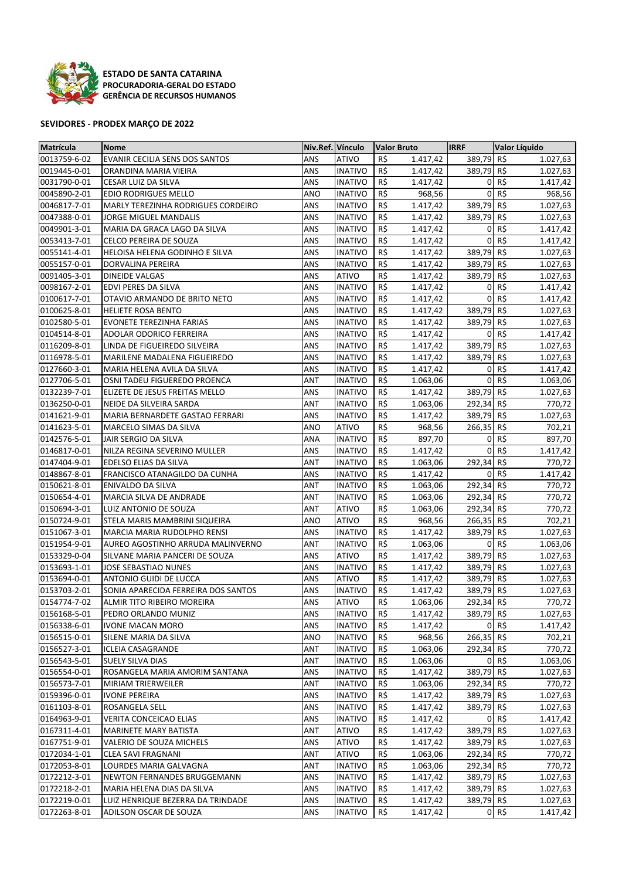

**ESTADO DE SANTA CATARINA PROCURADORIA‐GERAL DO ESTADO GERÊNCIA DE RECURSOS HUMANOS**

## **SEVIDORES ‐ PRODEX MARÇO DE 2022**

| Matrícula                    | <b>Nome</b>                                     | Niv.Ref. Vínculo |                                  | Valor Bruto |                      | <b>IRRF</b>    | Valor Líquido |                      |
|------------------------------|-------------------------------------------------|------------------|----------------------------------|-------------|----------------------|----------------|---------------|----------------------|
| 0013759-6-02                 | <b>EVANIR CECILIA SENS DOS SANTOS</b>           | <b>ANS</b>       | <b>ATIVO</b>                     | R\$         | 1.417,42             | 389,79         | R\$           | 1.027,63             |
| 0019445-0-01                 | ORANDINA MARIA VIEIRA                           | ANS              | <b>INATIVO</b>                   | R\$         | 1.417,42             | 389,79         | R\$           | 1.027,63             |
| 0031790-0-01                 | CESAR LUIZ DA SILVA                             | ANS              | <b>INATIVO</b>                   | R\$         | 1.417,42             | 0              | R\$           | 1.417,42             |
| 0045890-2-01                 | EDIO RODRIGUES MELLO                            | ANO              | <b>INATIVO</b>                   | R\$         | 968,56               | 0              | R\$           | 968,56               |
| 0046817-7-01                 | MARLY TEREZINHA RODRIGUES CORDEIRO              | ANS              | <b>INATIVO</b>                   | R\$         | 1.417,42             | 389,79         | R\$           | 1.027,63             |
| 0047388-0-01                 | JORGE MIGUEL MANDALIS                           | ANS              | <b>INATIVO</b>                   | R\$         | 1.417,42             | 389,79         | R\$           | 1.027,63             |
| 0049901-3-01                 | MARIA DA GRACA LAGO DA SILVA                    | ANS              | <b>INATIVO</b>                   | R\$         | 1.417,42             | 0              | R\$           | 1.417,42             |
| 0053413-7-01                 | CELCO PEREIRA DE SOUZA                          | ANS              | <b>INATIVO</b>                   | R\$         | 1.417,42             | $\mathbf 0$    | R\$           | 1.417,42             |
| 0055141-4-01                 | HELOISA HELENA GODINHO E SILVA                  | <b>ANS</b>       | <b>INATIVO</b>                   | R\$         | 1.417,42             | 389,79         | R\$           | 1.027,63             |
| 0055157-0-01                 | DORVALINA PEREIRA                               | ANS              | <b>INATIVO</b>                   | R\$         | 1.417,42             | 389,79         | R\$           | 1.027,63             |
| 0091405-3-01                 | DINEIDE VALGAS                                  | ANS              | <b>ATIVO</b>                     | R\$         | 1.417,42             | 389,79         | R\$           | 1.027,63             |
| 0098167-2-01                 | EDVI PERES DA SILVA                             | ANS              | <b>INATIVO</b>                   | R\$         | 1.417,42             | $\overline{0}$ | R\$           | 1.417,42             |
| 0100617-7-01                 | OTAVIO ARMANDO DE BRITO NETO                    | ANS              | <b>INATIVO</b>                   | R\$         | 1.417,42             | $\overline{0}$ | R\$           | 1.417,42             |
| 0100625-8-01                 | <b>HELIETE ROSA BENTO</b>                       | ANS              | <b>INATIVO</b>                   | R\$         | 1.417,42             | 389,79 R\$     |               | 1.027,63             |
| 0102580-5-01                 | <b>EVONETE TEREZINHA FARIAS</b>                 | ANS              | <b>INATIVO</b>                   | R\$         | 1.417,42             | 389,79 R\$     |               | 1.027,63             |
| 0104514-8-01                 | ADOLAR ODORICO FERREIRA                         | ANS              | <b>INATIVO</b>                   | R\$         | 1.417,42             | $\mathbf 0$    | R\$           | 1.417,42             |
| 0116209-8-01                 | LINDA DE FIGUEIREDO SILVEIRA                    | ANS              | <b>INATIVO</b>                   | R\$         | 1.417,42             | 389,79         | R\$           | 1.027,63             |
| 0116978-5-01                 | <b>MARILENE MADALENA FIGUEIREDO</b>             | ANS              | <b>INATIVO</b>                   | R\$         | 1.417,42             | 389,79         | R\$           | 1.027,63             |
| 0127660-3-01                 | MARIA HELENA AVILA DA SILVA                     | ANS              | <b>INATIVO</b>                   | R\$         | 1.417,42             | $\mathbf 0$    | R\$           | 1.417,42             |
| 0127706-5-01                 | OSNI TADEU FIGUEREDO PROENCA                    | <b>ANT</b>       | <b>INATIVO</b>                   | R\$         | 1.063,06             | $\mathbf 0$    | R\$           | 1.063,06             |
| 0132239-7-01                 | ELIZETE DE JESUS FREITAS MELLO                  | ANS              | <b>INATIVO</b>                   | R\$         | 1.417,42             | 389,79         | R\$           | 1.027,63             |
| 0136250-0-01                 | NEIDE DA SILVEIRA SARDA                         | <b>ANT</b>       | <b>INATIVO</b>                   | R\$         | 1.063,06             | 292,34         | R\$           | 770,72               |
| 0141621-9-01                 | MARIA BERNARDETE GASTAO FERRARI                 | ANS              | <b>INATIVO</b>                   | R\$         | 1.417,42             | 389,79         | R\$           | 1.027,63             |
| 0141623-5-01                 | MARCELO SIMAS DA SILVA                          | ANO              | <b>ATIVO</b>                     | R\$         | 968,56               | 266,35         | R\$           | 702,21               |
| 0142576-5-01                 | JAIR SERGIO DA SILVA                            | ANA              | <b>INATIVO</b>                   | R\$         | 897,70               | 0              | R\$           | 897,70               |
| 0146817-0-01                 | NILZA REGINA SEVERINO MULLER                    | ANS              | <b>INATIVO</b>                   | R\$         | 1.417,42             | 0              | R\$           | 1.417,42             |
| 0147404-9-01                 | EDELSO ELIAS DA SILVA                           | ANT              | <b>INATIVO</b>                   | R\$         | 1.063,06             | 292,34         | R\$           | 770,72               |
| 0148867-8-01                 | FRANCISCO ATANAGILDO DA CUNHA                   | ANS              | <b>INATIVO</b>                   | R\$         | 1.417,42             | 0              | R\$           | 1.417,42             |
| 0150621-8-01                 | ENIVALDO DA SILVA                               | <b>ANT</b>       | <b>INATIVO</b>                   | R\$         | 1.063,06             | 292,34 R\$     |               | 770,72               |
| 0150654-4-01                 | MARCIA SILVA DE ANDRADE                         | <b>ANT</b>       | <b>INATIVO</b>                   | R\$         | 1.063,06             | 292,34 R\$     |               | 770,72               |
| 0150694-3-01                 | LUIZ ANTONIO DE SOUZA                           | <b>ANT</b>       | <b>ATIVO</b>                     | R\$         | 1.063,06             | 292,34         | R\$           | 770,72               |
| 0150724-9-01                 | STELA MARIS MAMBRINI SIQUEIRA                   | ANO              | <b>ATIVO</b>                     | R\$         | 968,56               | 266,35         | R\$           | 702,21               |
| 0151067-3-01                 | MARCIA MARIA RUDOLPHO RENSI                     | ANS              | <b>INATIVO</b>                   | R\$         | 1.417,42             | 389,79         | R\$           | 1.027,63             |
| 0151954-9-01                 | AUREO AGOSTINHO ARRUDA MALINVERNO               | ANT              | <b>INATIVO</b>                   | R\$         | 1.063,06             | $\mathbf 0$    | R\$           | 1.063,06             |
| 0153329-0-04                 | SILVANE MARIA PANCERI DE SOUZA                  | <b>ANS</b>       | <b>ATIVO</b>                     | R\$         | 1.417,42             | 389,79         | R\$           | 1.027,63             |
| 0153693-1-01                 | JOSE SEBASTIAO NUNES                            | ANS              | <b>INATIVO</b>                   | R\$         | 1.417,42             | 389,79 R\$     |               | 1.027,63             |
| 0153694-0-01                 | ANTONIO GUIDI DE LUCCA                          | ANS              | <b>ATIVO</b>                     | R\$         | 1.417,42             | 389,79         | R\$           | 1.027,63             |
| 0153703-2-01                 | SONIA APARECIDA FERREIRA DOS SANTOS             | ANS              | <b>INATIVO</b>                   | R\$         | 1.417,42             | 389,79         | R\$           | 1.027,63             |
| 0154774-7-02                 | ALMIR TITO RIBEIRO MOREIRA                      | ANS              | <b>ATIVO</b>                     | R\$         | 1.063,06             | 292,34 R\$     |               | 770,72               |
| 0156168-5-01                 | PEDRO ORLANDO MUNIZ                             | ANS              | <b>INATIVO</b>                   | R\$         | 1.417,42             | 389,79  R\$    |               | 1.027,63             |
| 0156338-6-01                 | <b>IVONE MACAN MORO</b>                         | ANS              | <b>INATIVO</b>                   | R\$         | 1.417,42             |                | $0 R$ \$      | 1.417,42             |
| 0156515-0-01                 | SILENE MARIA DA SILVA                           | <b>ANO</b>       | <b>INATIVO</b>                   | R\$         | 968,56               | 266,35 R\$     |               | 702,21               |
| 0156527-3-01                 | <b>ICLEIA CASAGRANDE</b>                        | ANT              | <b>INATIVO</b>                   | R\$         | 1.063,06             | 292,34 R\$     |               | 770,72               |
| 0156543-5-01<br>0156554-0-01 | SUELY SILVA DIAS                                | ANT              | <b>INATIVO</b><br><b>INATIVO</b> | R\$<br>R\$  | 1.063,06             |                | 0 R5          | 1.063,06             |
|                              | ROSANGELA MARIA AMORIM SANTANA                  | ANS              |                                  |             | 1.417,42             | 389,79 R\$     |               | 1.027,63             |
| 0156573-7-01                 | MIRIAM TRIERWEILER                              | ANT              | <b>INATIVO</b>                   | R\$         | 1.063,06             | 292,34 R\$     |               | 770,72               |
| 0159396-0-01                 | <b>IVONE PEREIRA</b>                            | ANS              | <b>INATIVO</b>                   | R\$         | 1.417,42             | 389,79 R\$     |               | 1.027,63             |
| 0161103-8-01                 | ROSANGELA SELL<br><b>VERITA CONCEICAO ELIAS</b> | ANS<br>ANS       | <b>INATIVO</b>                   | R\$<br>R\$  | 1.417,42             | 389,79 R\$     | 0 R5          | 1.027,63             |
| 0164963-9-01<br>0167311-4-01 | MARINETE MARY BATISTA                           | ANT              | <b>INATIVO</b><br><b>ATIVO</b>   | R\$         | 1.417,42<br>1.417,42 | 389,79 R\$     |               | 1.417,42<br>1.027,63 |
| 0167751-9-01                 | VALERIO DE SOUZA MICHELS                        | ANS              | <b>ATIVO</b>                     | R\$         | 1.417,42             | 389,79 R\$     |               | 1.027,63             |
| 0172034-1-01                 | <b>CLEA SAVI FRAGNANI</b>                       | ANT              | <b>ATIVO</b>                     | R\$         | 1.063,06             | 292,34 R\$     |               | 770,72               |
| 0172053-8-01                 | LOURDES MARIA GALVAGNA                          | ANT              | <b>INATIVO</b>                   | R\$         | 1.063,06             | 292,34 R\$     |               | 770,72               |
| 0172212-3-01                 | NEWTON FERNANDES BRUGGEMANN                     | ANS              | <b>INATIVO</b>                   | R\$         | 1.417,42             | 389,79 R\$     |               | 1.027,63             |
| 0172218-2-01                 | MARIA HELENA DIAS DA SILVA                      | ANS              | <b>INATIVO</b>                   | R\$         | 1.417,42             | 389,79 R\$     |               | 1.027,63             |
| 0172219-0-01                 | LUIZ HENRIQUE BEZERRA DA TRINDADE               | ANS              | <b>INATIVO</b>                   | R\$         | 1.417,42             | 389,79 R\$     |               | 1.027,63             |
| 0172263-8-01                 | ADILSON OSCAR DE SOUZA                          | ANS              | <b>INATIVO</b>                   | R\$         | 1.417,42             |                | $0 R$ \$      | 1.417,42             |
|                              |                                                 |                  |                                  |             |                      |                |               |                      |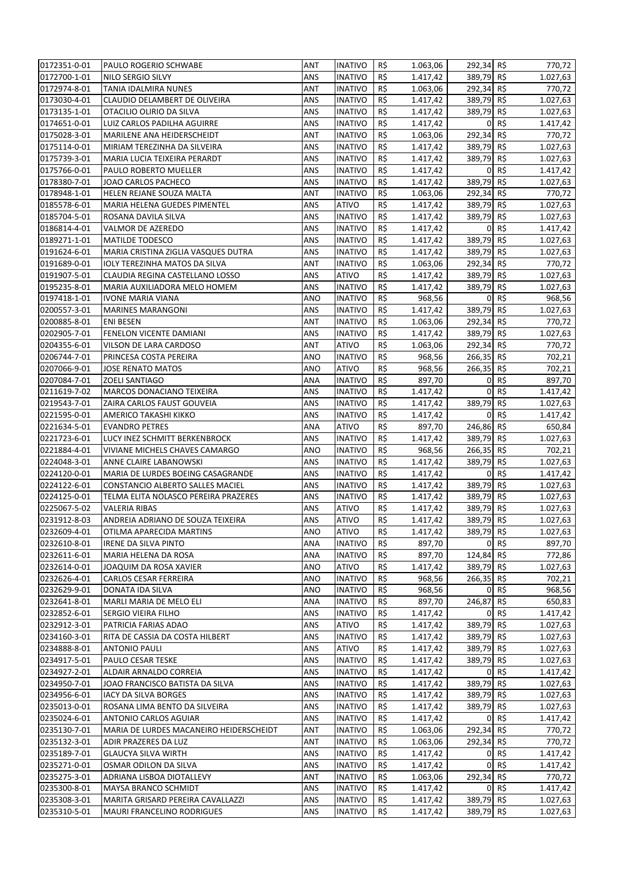| 0172351-0-01                 | PAULO ROGERIO SCHWABE                   | ANT        | <b>INATIVO</b>            | R\$        | 1.063,06             | 292,34 R\$               |          | 770,72               |
|------------------------------|-----------------------------------------|------------|---------------------------|------------|----------------------|--------------------------|----------|----------------------|
| 0172700-1-01                 | NILO SERGIO SILVY                       | ANS        | <b>INATIVO</b>            | R\$        | 1.417,42             | 389,79 R\$               |          | 1.027,63             |
| 0172974-8-01                 | <b>TANIA IDALMIRA NUNES</b>             | <b>ANT</b> | <b>INATIVO</b>            | R\$        | 1.063,06             | 292,34 R\$               |          | 770,72               |
| 0173030-4-01                 | CLAUDIO DELAMBERT DE OLIVEIRA           | ANS        | <b>INATIVO</b>            | R\$        | 1.417,42             | 389,79 R\$               |          | 1.027,63             |
| 0173135-1-01                 | OTACILIO OLIRIO DA SILVA                | ANS        | <b>INATIVO</b>            | R\$        | 1.417,42             | 389,79 R\$               |          | 1.027,63             |
| 0174651-0-01                 | LUIZ CARLOS PADILHA AGUIRRE             | ANS        | <b>INATIVO</b>            | R\$        | 1.417,42             | 0                        | R\$      | 1.417,42             |
| 0175028-3-01                 | MARILENE ANA HEIDERSCHEIDT              | ANT        | INATIVO                   | R\$        | 1.063,06             | 292,34 R\$               |          | 770,72               |
| 0175114-0-01                 | MIRIAM TEREZINHA DA SILVEIRA            | ANS        | INATIVO                   | R\$        | 1.417,42             | 389,79 R\$               |          | 1.027,63             |
| 0175739-3-01                 | MARIA LUCIA TEIXEIRA PERARDT            | ANS        | <b>INATIVO</b>            | R\$        | 1.417,42             | 389,79 R\$               |          | 1.027,63             |
| 0175766-0-01                 | PAULO ROBERTO MUELLER                   | ANS        | <b>INATIVO</b>            | R\$        | 1.417,42             |                          | 0 R5     | 1.417,42             |
| 0178380-7-01                 | JOAO CARLOS PACHECO                     | ANS        | INATIVO                   | R\$        | 1.417,42             | 389,79 R\$               |          | 1.027,63             |
| 0178948-1-01                 | HELEN REJANE SOUZA MALTA                | ANT        | <b>INATIVO</b>            | R\$        | 1.063,06             | 292,34 R\$               |          | 770,72               |
| 0185578-6-01                 | MARIA HELENA GUEDES PIMENTEL            | ANS        | <b>ATIVO</b>              | R\$        | 1.417,42             | 389,79 R\$               |          | 1.027,63             |
| 0185704-5-01                 | ROSANA DAVILA SILVA                     | ANS        | INATIVO                   | R\$        | 1.417,42             | 389,79 R\$               |          | 1.027,63             |
| 0186814-4-01                 | VALMOR DE AZEREDO                       | ANS        | <b>INATIVO</b>            | R\$        | 1.417,42             |                          | 0 R5     | 1.417,42             |
| 0189271-1-01                 | <b>MATILDE TODESCO</b>                  | ANS        | <b>INATIVO</b>            | R\$        | 1.417,42             | 389,79 R\$               |          | 1.027,63             |
| 0191624-6-01                 | MARIA CRISTINA ZIGLIA VASQUES DUTRA     | ANS        | <b>INATIVO</b>            | R\$        | 1.417,42             | 389,79 R\$               |          | 1.027,63             |
| 0191689-0-01                 | IOLY TEREZINHA MATOS DA SILVA           | ANT        | <b>INATIVO</b>            | R\$        | 1.063,06             | 292,34 R\$               |          | 770,72               |
| 0191907-5-01                 | CLAUDIA REGINA CASTELLANO LOSSO         | ANS        | <b>ATIVO</b>              | R\$        | 1.417,42             | 389,79 R\$               |          | 1.027,63             |
| 0195235-8-01                 | MARIA AUXILIADORA MELO HOMEM            | ANS        | <b>INATIVO</b>            | R\$        | 1.417,42             | 389,79 R\$               |          | 1.027,63             |
| 0197418-1-01                 | <b>IVONE MARIA VIANA</b>                | ANO        | <b>INATIVO</b>            | R\$        | 968,56               | 0                        | R\$      | 968,56               |
| 0200557-3-01                 | <b>MARINES MARANGONI</b>                | ANS        | <b>INATIVO</b>            | R\$        | 1.417,42             | 389,79 R\$               |          | 1.027,63             |
| 0200885-8-01                 | <b>ENI BESEN</b>                        | ANT        | INATIVO                   | R\$        | 1.063,06             | 292,34 R\$               |          | 770,72               |
| 0202905-7-01                 | FENELON VICENTE DAMIANI                 | ANS        | <b>INATIVO</b>            | R\$        | 1.417,42             | 389,79 R\$               |          | 1.027,63             |
| 0204355-6-01                 | VILSON DE LARA CARDOSO                  | ANT        | <b>ATIVO</b>              | R\$        | 1.063,06             | 292,34 R\$               |          | 770,72               |
| 0206744-7-01                 | PRINCESA COSTA PEREIRA                  | ANO        | <b>INATIVO</b>            | R\$        | 968,56               | 266,35 R\$               |          | 702,21               |
| 0207066-9-01                 | <b>JOSE RENATO MATOS</b>                | ANO        | <b>ATIVO</b>              | R\$        | 968,56               | 266,35 R\$               |          | 702,21               |
| 0207084-7-01                 | <b>ZOELI SANTIAGO</b>                   | ANA        | <b>INATIVO</b>            | R\$        | 897,70               | 0                        | R\$      | 897,70               |
| 0211619-7-02                 | MARCOS DONACIANO TEIXEIRA               | ANS        | INATIVO                   | R\$        | 1.417,42             | $\mathbf{0}$             | R\$      | 1.417,42             |
| 0219543-7-01                 | ZAIRA CARLOS FAUST GOUVEIA              | ANS        | INATIVO                   | R\$        | 1.417,42             | 389,79                   | R\$      | 1.027,63             |
| 0221595-0-01                 | AMERICO TAKASHI KIKKO                   | ANS        | <b>INATIVO</b>            | R\$        | 1.417,42             |                          | 0 R5     | 1.417,42             |
| 0221634-5-01                 | <b>EVANDRO PETRES</b>                   | ANA        | <b>ATIVO</b>              | R\$        | 897,70               | 246,86 R\$               |          | 650,84               |
| 0221723-6-01                 | LUCY INEZ SCHMITT BERKENBROCK           | ANS        | <b>INATIVO</b>            | R\$        | 1.417,42             | 389,79 R\$               |          | 1.027,63             |
| 0221884-4-01                 | VIVIANE MICHELS CHAVES CAMARGO          | ANO        | <b>INATIVO</b>            | R\$        | 968,56               | 266,35                   | R\$      | 702,21               |
| 0224048-3-01                 | ANNE CLAIRE LABANOWSKI                  | ANS        | <b>INATIVO</b>            | R\$        | 1.417,42             | 389,79                   | R\$      | 1.027,63             |
| 0224120-0-01                 | MARIA DE LURDES BOEING CASAGRANDE       | ANS        | INATIVO                   | R\$        | 1.417,42             | $\mathbf{0}$             | R\$      | 1.417,42             |
| 0224122-6-01                 | CONSTANCIO ALBERTO SALLES MACIEL        | ANS        | <b>INATIVO</b>            | R\$        | 1.417,42             | 389,79 R\$               |          | 1.027,63             |
| 0224125-0-01                 | TELMA ELITA NOLASCO PEREIRA PRAZERES    | ANS        | <b>INATIVO</b>            | R\$        | 1.417,42             | 389,79 R\$               |          | 1.027,63             |
| 0225067-5-02                 | <b>VALERIA RIBAS</b>                    | ANS        | <b>ATIVO</b>              | R\$        | 1.417,42             | 389,79 R\$               |          | 1.027,63             |
| 0231912-8-03                 | ANDREIA ADRIANO DE SOUZA TEIXEIRA       | ANS        | <b>ATIVO</b>              | R\$        | 1.417,42             | 389,79 R\$               |          | 1.027,63             |
| 0232609-4-01                 | OTILMA APARECIDA MARTINS                | ANO        | ATIVO                     | R\$        | 1.417,42             | 389,79 R\$               |          | 1.027,63             |
| 0232610-8-01                 | IRENE DA SILVA PINTO                    | ANA        | <b>INATIVO</b>            | R\$        | 897,70               |                          | $0 R$ \$ | 897,70               |
| 0232611-6-01                 | MARIA HELENA DA ROSA                    | ANA        | INATIVO                   | R\$        | 897,70               | 124,84 R\$               |          | 772,86               |
| 0232614-0-01                 | JOAQUIM DA ROSA XAVIER                  | ANO        | ATIVO                     | R\$        | 1.417,42             | 389,79 R\$               |          | 1.027,63             |
| 0232626-4-01                 | CARLOS CESAR FERREIRA                   | ANO        | <b>INATIVO</b>            | R\$        | 968,56               | 266,35 R\$               |          | 702,21               |
| 0232629-9-01                 | DONATA IDA SILVA                        | ANO        | INATIVO                   | R\$        | 968,56               |                          | 0 R5     | 968,56               |
| 0232641-8-01                 | MARLI MARIA DE MELO ELI                 | ANA        | <b>INATIVO</b>            | R\$        | 897,70               | 246,87 R\$               |          | 650,83               |
| 0232852-6-01                 | SERGIO VIEIRA FILHO                     | ANS        | <b>INATIVO</b>            | R\$        | 1.417,42             | $\Omega$                 | R\$      | 1.417,42             |
| 0232912-3-01                 | PATRICIA FARIAS ADAO                    | ANS        | ATIVO                     | R\$        | 1.417,42             | 389,79 R\$               |          | 1.027,63             |
| 0234160-3-01                 | RITA DE CASSIA DA COSTA HILBERT         | ANS        | <b>INATIVO</b>            | R\$        | 1.417,42             | 389,79 R\$               |          | 1.027,63             |
| 0234888-8-01                 | <b>ANTONIO PAULI</b>                    | ANS        | <b>ATIVO</b>              | R\$        | 1.417,42             | 389,79 R\$               |          | 1.027,63             |
| 0234917-5-01                 | PAULO CESAR TESKE                       | ANS        | <b>INATIVO</b>            | R\$        | 1.417,42             | 389,79 R\$               |          | 1.027,63             |
| 0234927-2-01                 | ALDAIR ARNALDO CORREIA                  | ANS        | <b>INATIVO</b>            | R\$        | 1.417,42             |                          | 0 R5     | 1.417,42             |
| 0234950-7-01                 | JOAO FRANCISCO BATISTA DA SILVA         | ANS        | <b>INATIVO</b>            | R\$        | 1.417,42             | 389,79 R\$               |          | 1.027,63             |
|                              | <b>IACY DA SILVA BORGES</b>             |            |                           |            |                      |                          |          |                      |
| 0234956-6-01<br>0235013-0-01 | ROSANA LIMA BENTO DA SILVEIRA           | ANS<br>ANS | <b>INATIVO</b><br>INATIVO | R\$<br>R\$ | 1.417,42<br>1.417,42 | 389,79 R\$<br>389,79 R\$ |          | 1.027,63<br>1.027,63 |
|                              |                                         |            |                           | R\$        |                      | $\overline{0}$           | R\$      |                      |
| 0235024-6-01                 | ANTONIO CARLOS AGUIAR                   | ANS        | INATIVO                   |            | 1.417,42             |                          |          | 1.417,42             |
| 0235130-7-01                 | MARIA DE LURDES MACANEIRO HEIDERSCHEIDT | ANT        | INATIVO                   | R\$        | 1.063,06             | 292,34 R\$               |          | 770,72               |
| 0235132-3-01                 | ADIR PRAZERES DA LUZ                    | ANT        | INATIVO                   | R\$        | 1.063,06             | 292,34 R\$               |          | 770,72               |
| 0235189-7-01                 | <b>GLAUCYA SILVA WIRTH</b>              | ANS        | <b>INATIVO</b>            | R\$        | 1.417,42             |                          | 0 R5     | 1.417,42             |
| 0235271-0-01                 | OSMAR ODILON DA SILVA                   | ANS        | INATIVO                   | R\$        | 1.417,42             |                          | 0 R5     | 1.417,42             |
| 0235275-3-01                 | ADRIANA LISBOA DIOTALLEVY               | ANT        | <b>INATIVO</b>            | R\$        | 1.063,06             | 292,34 R\$               |          | 770,72               |
| 0235300-8-01                 | MAYSA BRANCO SCHMIDT                    | ANS        | INATIVO                   | R\$        | 1.417,42             |                          | 0 R      | 1.417,42             |
| 0235308-3-01                 | MARITA GRISARD PEREIRA CAVALLAZZI       | ANS        | INATIVO                   | R\$        | 1.417,42             | 389,79 R\$               |          | 1.027,63             |
| 0235310-5-01                 | <b>MAURI FRANCELINO RODRIGUES</b>       | ANS        | <b>INATIVO</b>            | R\$        | 1.417,42             | 389,79 R\$               |          | 1.027,63             |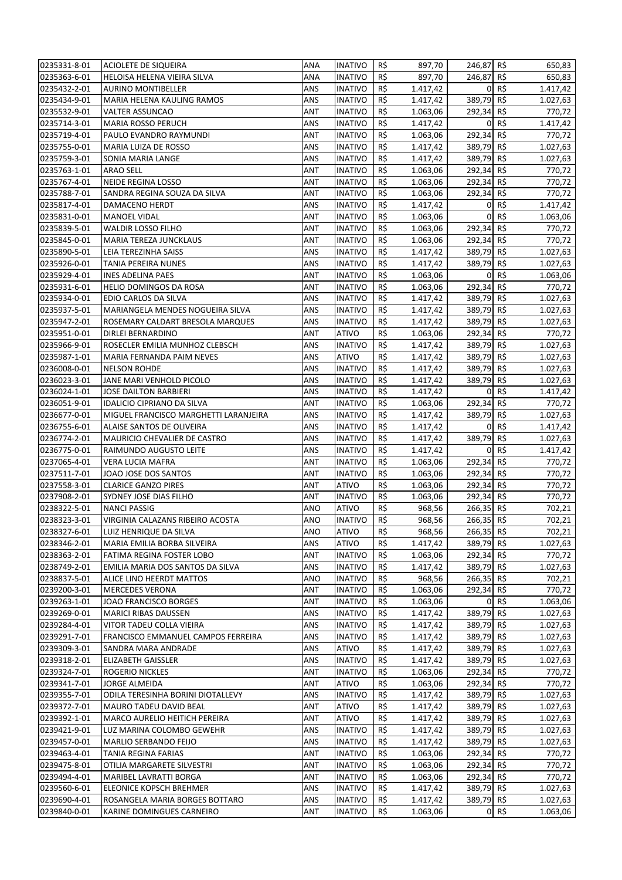| 0235331-8-01                 | ACIOLETE DE SIQUEIRA                                        | ANA        | <b>INATIVO</b>                   | R\$ | 897,70               | 246,87 R\$ |          | 650,83               |
|------------------------------|-------------------------------------------------------------|------------|----------------------------------|-----|----------------------|------------|----------|----------------------|
| 0235363-6-01                 | HELOISA HELENA VIEIRA SILVA                                 | <b>ANA</b> | <b>INATIVO</b>                   | R\$ | 897,70               | 246,87 R\$ |          | 650,83               |
| 0235432-2-01                 | <b>AURINO MONTIBELLER</b>                                   | ANS        | <b>INATIVO</b>                   | R\$ | 1.417,42             |            | 0 R5     | 1.417,42             |
| 0235434-9-01                 | MARIA HELENA KAULING RAMOS                                  | <b>ANS</b> | <b>INATIVO</b>                   | R\$ | 1.417,42             | 389,79 R\$ |          | 1.027,63             |
| 0235532-9-01                 | <b>VALTER ASSUNCAO</b>                                      | ANT        | <b>INATIVO</b>                   | R\$ | 1.063,06             | 292,34 R\$ |          | 770,72               |
| 0235714-3-01                 | <b>MARIA ROSSO PERUCH</b>                                   | ANS        | <b>INATIVO</b>                   | R\$ | 1.417,42             | $\Omega$   | R\$      | 1.417,42             |
| 0235719-4-01                 | PAULO EVANDRO RAYMUNDI                                      | <b>ANT</b> | <b>INATIVO</b>                   | R\$ | 1.063,06             | 292,34 R\$ |          | 770,72               |
| 0235755-0-01                 | MARIA LUIZA DE ROSSO                                        | ANS        | <b>INATIVO</b>                   | R\$ | 1.417,42             | 389,79 R\$ |          | 1.027,63             |
| 0235759-3-01                 | SONIA MARIA LANGE                                           | <b>ANS</b> | <b>INATIVO</b>                   | R\$ | 1.417,42             | 389,79 R\$ |          | 1.027,63             |
| 0235763-1-01                 | <b>ARAO SELL</b>                                            | <b>ANT</b> | <b>INATIVO</b>                   | R\$ | 1.063,06             | 292,34 R\$ |          | 770,72               |
| 0235767-4-01                 | <b>NEIDE REGINA LOSSO</b>                                   | ANT        | <b>INATIVO</b>                   | R\$ | 1.063,06             | 292,34 R\$ |          | 770,72               |
| 0235788-7-01                 | SANDRA REGINA SOUZA DA SILVA                                | ANT        | <b>INATIVO</b>                   | R\$ | 1.063,06             | 292,34 R\$ |          | 770,72               |
| 0235817-4-01                 | DAMACENO HERDT                                              | ANS        | <b>INATIVO</b>                   | R\$ | 1.417,42             | $\Omega$   | R\$      | 1.417,42             |
| 0235831-0-01                 | MANOEL VIDAL                                                | ANT        | <b>INATIVO</b>                   | R\$ | 1.063,06             | $\Omega$   | R\$      | 1.063,06             |
| 0235839-5-01                 | WALDIR LOSSO FILHO                                          | <b>ANT</b> | <b>INATIVO</b>                   | R\$ | 1.063,06             | 292,34 R\$ |          | 770,72               |
| 0235845-0-01                 | MARIA TEREZA JUNCKLAUS                                      | <b>ANT</b> | <b>INATIVO</b>                   | R\$ | 1.063,06             | 292,34 R\$ |          | 770,72               |
| 0235890-5-01                 | LEIA TEREZINHA SAISS                                        | <b>ANS</b> | <b>INATIVO</b>                   | R\$ | 1.417,42             | 389,79 R\$ |          | 1.027,63             |
| 0235926-0-01                 | TANIA PEREIRA NUNES                                         | <b>ANS</b> | <b>INATIVO</b>                   | R\$ | 1.417,42             | 389,79 R\$ |          | 1.027,63             |
| 0235929-4-01                 | <b>INES ADELINA PAES</b>                                    | <b>ANT</b> | <b>INATIVO</b>                   | R\$ | 1.063,06             |            | 0 R5     | 1.063,06             |
| 0235931-6-01                 | <b>HELIO DOMINGOS DA ROSA</b>                               | ANT        | <b>INATIVO</b>                   | R\$ | 1.063,06             | 292,34 R\$ |          | 770,72               |
| 0235934-0-01                 | EDIO CARLOS DA SILVA                                        | ANS        | <b>INATIVO</b>                   | R\$ | 1.417,42             | 389,79 R\$ |          | 1.027,63             |
| 0235937-5-01                 | MARIANGELA MENDES NOGUEIRA SILVA                            | ANS        | <b>INATIVO</b>                   | R\$ | 1.417,42             | 389,79 R\$ |          | 1.027,63             |
| 0235947-2-01                 | ROSEMARY CALDART BRESOLA MARQUES                            | <b>ANS</b> | <b>INATIVO</b>                   | R\$ | 1.417,42             | 389,79 R\$ |          | 1.027,63             |
| 0235951-0-01                 | DIRLEI BERNARDINO                                           | ANT        | <b>ATIVO</b>                     | R\$ | 1.063,06             | 292,34 R\$ |          | 770,72               |
| 0235966-9-01                 | ROSECLER EMILIA MUNHOZ CLEBSCH                              | <b>ANS</b> | <b>INATIVO</b>                   | R\$ | 1.417,42             | 389,79 R\$ |          | 1.027,63             |
| 0235987-1-01                 | MARIA FERNANDA PAIM NEVES                                   | <b>ANS</b> | <b>ATIVO</b>                     | R\$ | 1.417,42             | 389,79 R\$ |          | 1.027,63             |
| 0236008-0-01                 | <b>NELSON ROHDE</b>                                         | ANS        | <b>INATIVO</b>                   | R\$ | 1.417,42             | 389,79 R\$ |          | 1.027,63             |
| 0236023-3-01                 | JANE MARI VENHOLD PICOLO                                    | ANS        | <b>INATIVO</b>                   | R\$ | 1.417,42             | 389,79 R\$ |          | 1.027,63             |
| 0236024-1-01                 | JOSE DAILTON BARBIERI                                       | ANS        | <b>INATIVO</b>                   | R\$ | 1.417,42             |            | 0 R5     | 1.417,42             |
| 0236051-9-01                 | <b>IDALICIO CIPRIANO DA SILVA</b>                           | ANT        | <b>INATIVO</b>                   | R\$ | 1.063,06             | 292,34 R\$ |          | 770,72               |
| 0236677-0-01                 | MIGUEL FRANCISCO MARGHETTI LARANJEIRA                       | <b>ANS</b> | <b>INATIVO</b>                   | R\$ | 1.417,42             | 389,79 R\$ |          | 1.027,63             |
| 0236755-6-01                 | ALAISE SANTOS DE OLIVEIRA                                   | <b>ANS</b> | <b>INATIVO</b>                   | R\$ | 1.417,42             |            | $0 R$ \$ | 1.417,42             |
| 0236774-2-01                 | MAURICIO CHEVALIER DE CASTRO                                | ANS        | <b>INATIVO</b>                   | R\$ | 1.417,42             | 389,79 R\$ |          | 1.027,63             |
| 0236775-0-01                 | RAIMUNDO AUGUSTO LEITE                                      | ANS        | <b>INATIVO</b>                   | R\$ | 1.417,42             |            | $0 R$ \$ | 1.417,42             |
| 0237065-4-01                 | VERA LUCIA MAFRA                                            | ANT        | <b>INATIVO</b>                   | R\$ | 1.063,06             | 292,34 R\$ |          | 770,72               |
| 0237511-7-01                 | JOAO JOSE DOS SANTOS                                        | <b>ANT</b> | <b>INATIVO</b>                   | R\$ | 1.063,06             | 292,34 R\$ |          | 770,72               |
| 0237558-3-01                 | <b>CLARICE GANZO PIRES</b>                                  | <b>ANT</b> | <b>ATIVO</b>                     | R\$ | 1.063,06             | 292,34 R\$ |          | 770,72               |
| 0237908-2-01                 | SYDNEY JOSE DIAS FILHO                                      | <b>ANT</b> | <b>INATIVO</b>                   | R\$ | 1.063,06             | 292,34 R\$ |          | 770,72               |
| 0238322-5-01                 | <b>NANCI PASSIG</b>                                         | ANO        | <b>ATIVO</b>                     | R\$ | 968,56               | 266,35 R\$ |          | 702,21               |
| 0238323-3-01                 | VIRGINIA CALAZANS RIBEIRO ACOSTA                            | ANO        | <b>INATIVO</b>                   | R\$ | 968,56               | 266,35 R\$ |          | 702,21               |
| 0238327-6-01                 | LUIZ HENRIQUE DA SILVA                                      | <b>ANO</b> | <b>ATIVO</b>                     | R\$ | 968,56               | 266,35 R\$ |          | 702,21               |
| 0238346-2-01                 | MARIA EMILIA BORBA SILVEIRA                                 | ANS        | <b>ATIVO</b>                     | R\$ | 1.417,42             | 389,79 R\$ |          | 1.027,63             |
| 0238363-2-01                 | FATIMA REGINA FOSTER LOBO                                   | ANT        | <b>INATIVO</b>                   | R\$ | 1.063,06             | 292,34 R\$ |          | 770,72               |
| 0238749-2-01                 | EMILIA MARIA DOS SANTOS DA SILVA                            | <b>ANS</b> | <b>INATIVO</b>                   | R\$ | 1.417,42             | 389,79 R\$ |          | 1.027,63             |
| 0238837-5-01                 | ALICE LINO HEERDT MATTOS                                    | ANO        | <b>INATIVO</b>                   | R\$ | 968,56               | 266,35 R\$ |          | 702,21               |
| 0239200-3-01                 | <b>MERCEDES VERONA</b>                                      | ANT        | <b>INATIVO</b>                   | R\$ | 1.063,06             | 292,34 R\$ |          | 770,72               |
| 0239263-1-01                 | JOAO FRANCISCO BORGES                                       | ANT        | <b>INATIVO</b>                   | R\$ | 1.063,06             |            | 0 R5     | 1.063,06             |
| 0239269-0-01                 | <b>MARICI RIBAS DAUSSEN</b>                                 | ANS        | <b>INATIVO</b>                   | R\$ | 1.417,42             | 389,79 R\$ |          | 1.027,63             |
| 0239284-4-01                 | VITOR TADEU COLLA VIEIRA                                    | ANS        | <b>INATIVO</b>                   | R\$ | 1.417,42             | 389,79 R\$ |          | 1.027,63             |
| 0239291-7-01                 | FRANCISCO EMMANUEL CAMPOS FERREIRA                          | ANS        | <b>INATIVO</b>                   | R\$ | 1.417,42             | 389,79 R\$ |          | 1.027,63             |
| 0239309-3-01                 | SANDRA MARA ANDRADE                                         | ANS        | ATIVO                            | R\$ | 1.417,42             | 389,79 R\$ |          | 1.027,63             |
| 0239318-2-01                 | <b>ELIZABETH GAISSLER</b>                                   | ANS        | <b>INATIVO</b>                   | R\$ | 1.417,42             | 389,79 R\$ |          | 1.027,63             |
| 0239324-7-01                 | ROGERIO NICKLES                                             | ANT        | <b>INATIVO</b>                   | R\$ | 1.063,06             | 292,34 R\$ |          | 770,72               |
| 0239341-7-01                 | <b>JORGE ALMEIDA</b>                                        | ANT        | <b>ATIVO</b>                     | R\$ | 1.063,06             | 292,34 R\$ |          | 770,72               |
| 0239355-7-01                 | ODILA TERESINHA BORINI DIOTALLEVY                           | ANS        | <b>INATIVO</b>                   | R\$ | 1.417,42             | 389,79 R\$ |          | 1.027,63             |
| 0239372-7-01                 | MAURO TADEU DAVID BEAL                                      | ANT        | <b>ATIVO</b>                     | R\$ | 1.417,42             | 389,79 R\$ |          | 1.027,63             |
| 0239392-1-01                 | MARCO AURELIO HEITICH PEREIRA                               | ANT        | <b>ATIVO</b>                     | R\$ | 1.417,42             | 389,79 R\$ |          |                      |
| 0239421-9-01                 | LUZ MARINA COLOMBO GEWEHR                                   | ANS        | <b>INATIVO</b>                   | R\$ | 1.417,42             | 389,79 R\$ |          | 1.027,63<br>1.027,63 |
|                              |                                                             | ANS        |                                  | R\$ |                      | 389,79 R\$ |          |                      |
| 0239457-0-01                 | MARLIO SERBANDO FEIJO                                       |            | <b>INATIVO</b>                   | R\$ | 1.417,42<br>1.063,06 | 292,34 R\$ |          | 1.027,63             |
| 0239463-4-01<br>0239475-8-01 | TANIA REGINA FARIAS<br>OTILIA MARGARETE SILVESTRI           | ANT<br>ANT | <b>INATIVO</b><br><b>INATIVO</b> | R\$ | 1.063,06             | 292,34 R\$ |          | 770,72<br>770,72     |
| 0239494-4-01                 | MARIBEL LAVRATTI BORGA                                      | ANT        | <b>INATIVO</b>                   | R\$ | 1.063,06             | 292,34 R\$ |          | 770,72               |
|                              |                                                             | ANS        | <b>INATIVO</b>                   | R\$ |                      |            |          |                      |
| 0239560-6-01                 | ELEONICE KOPSCH BREHMER                                     |            |                                  | R\$ | 1.417,42             | 389,79 R\$ |          | 1.027,63             |
| 0239690-4-01<br>0239840-0-01 | ROSANGELA MARIA BORGES BOTTARO<br>KARINE DOMINGUES CARNEIRO | ANS<br>ANT | <b>INATIVO</b><br><b>INATIVO</b> | R\$ | 1.417,42<br>1.063,06 | 389,79 R\$ | 0 R5     | 1.027,63<br>1.063,06 |
|                              |                                                             |            |                                  |     |                      |            |          |                      |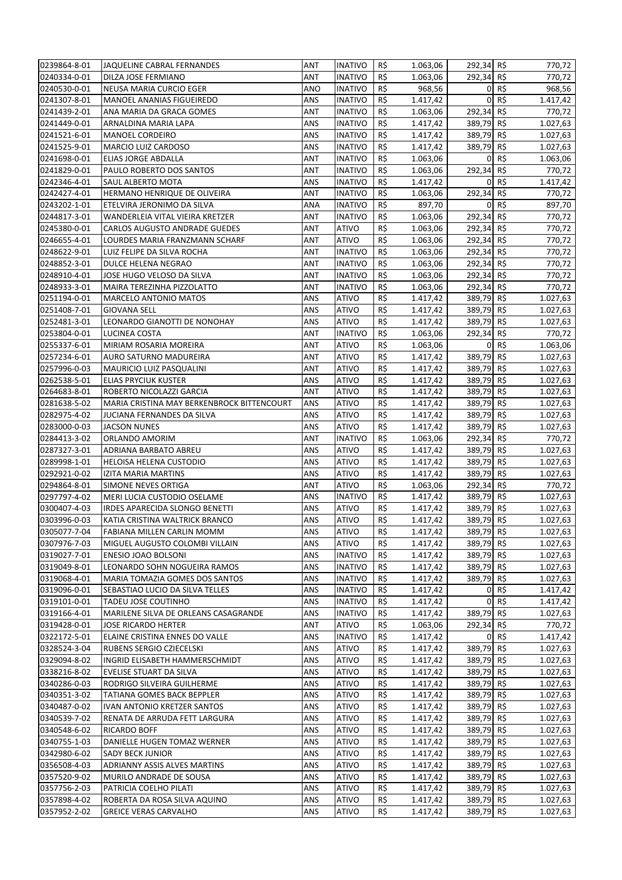| 0239864-8-01                 | JAQUELINE CABRAL FERNANDES                                             | ANT               | <b>INATIVO</b>               | R\$        | 1.063,06             | 292,34 R\$               |          | 770,72               |
|------------------------------|------------------------------------------------------------------------|-------------------|------------------------------|------------|----------------------|--------------------------|----------|----------------------|
| 0240334-0-01                 | DILZA JOSE FERMIANO                                                    | ANT               | INATIVO                      | R\$        | 1.063,06             | 292,34 R\$               |          | 770,72               |
| 0240530-0-01                 | NEUSA MARIA CURCIO EGER                                                | ANO               | <b>INATIVO</b>               | R\$        | 968,56               |                          | 0 R      | 968,56               |
| 0241307-8-01                 | MANOEL ANANIAS FIGUEIREDO                                              | ANS               | <b>INATIVO</b>               | R\$        | 1.417,42             | $\mathbf{0}$             | R\$      | 1.417,42             |
| 0241439-2-01                 | ANA MARIA DA GRACA GOMES                                               | ANT               | <b>INATIVO</b>               | R\$        | 1.063,06             | 292,34 R\$               |          | 770,72               |
| 0241449-0-01                 | ARNALDINA MARIA LAPA                                                   | ANS               | <b>INATIVO</b>               | R\$        | 1.417,42             | 389,79 R\$               |          | 1.027,63             |
| 0241521-6-01                 | MANOEL CORDEIRO                                                        | ANS               | INATIVO                      | R\$        | 1.417,42             | 389,79 R\$               |          | 1.027,63             |
| 0241525-9-01                 | <b>MARCIO LUIZ CARDOSO</b>                                             | ANS               | INATIVO                      | R\$        | 1.417,42             | 389,79 R\$               |          | 1.027,63             |
| 0241698-0-01                 | ELIAS JORGE ABDALLA                                                    | ANT               | INATIVO                      | R\$        | 1.063,06             |                          | 0 R5     | 1.063,06             |
| 0241829-0-01                 | PAULO ROBERTO DOS SANTOS                                               | ANT               | <b>INATIVO</b>               | R\$        | 1.063,06             | 292,34 R\$               |          | 770,72               |
| 0242346-4-01                 | SAUL ALBERTO MOTA                                                      | ANS               | <b>INATIVO</b>               | R\$        | 1.417,42             |                          | 0 R5     | 1.417,42             |
| 0242427-4-01                 | HERMANO HENRIQUE DE OLIVEIRA                                           | ANT               | <b>INATIVO</b>               | R\$        | 1.063,06             | 292,34 R\$               |          | 770,72               |
| 0243202-1-01                 | ETELVIRA JERONIMO DA SILVA                                             | ANA               | INATIVO                      | R\$        | 897,70               | $\overline{0}$           | R\$      | 897,70               |
| 0244817-3-01                 | WANDERLEIA VITAL VIEIRA KRETZER                                        | ANT               | INATIVO                      | R\$        | 1.063,06             | 292,34 R\$               |          | 770,72               |
| 0245380-0-01                 | CARLOS AUGUSTO ANDRADE GUEDES                                          | ANT               | <b>ATIVO</b>                 | R\$        | 1.063,06             | 292,34 R\$               |          | 770,72               |
| 0246655-4-01                 | LOURDES MARIA FRANZMANN SCHARF                                         | ANT               | <b>ATIVO</b>                 | R\$        | 1.063,06             | 292,34 R\$               |          | 770,72               |
| 0248622-9-01                 | LUIZ FELIPE DA SILVA ROCHA                                             | ANT               | <b>INATIVO</b>               | R\$        | 1.063,06             | 292,34 R\$               |          | 770,72               |
| 0248852-3-01                 | DULCE HELENA NEGRAO                                                    | ANT               | <b>INATIVO</b>               | R\$        | 1.063,06             | 292,34 R\$               |          | 770,72               |
| 0248910-4-01                 | JOSE HUGO VELOSO DA SILVA                                              | ANT               | <b>INATIVO</b>               | R\$        | 1.063,06             | 292,34 R\$               |          | 770,72               |
| 0248933-3-01                 | MAIRA TEREZINHA PIZZOLATTO                                             | ANT               | INATIVO                      | R\$        | 1.063,06             | 292,34 R\$               |          | 770,72               |
| 0251194-0-01                 | MARCELO ANTONIO MATOS                                                  | ANS               | <b>ATIVO</b>                 | R\$        | 1.417,42             | 389,79 R\$               |          | 1.027,63             |
| 0251408-7-01                 | <b>GIOVANA SELL</b>                                                    | ANS               | <b>ATIVO</b>                 | R\$        | 1.417,42             | 389,79 R\$               |          | 1.027,63             |
| 0252481-3-01                 | LEONARDO GIANOTTI DE NONOHAY                                           | ANS               | <b>ATIVO</b>                 | R\$        | 1.417,42             | 389,79 R\$               |          | 1.027,63             |
| 0253804-0-01                 | LUCINEA COSTA                                                          | ANT               | <b>INATIVO</b>               | R\$        | 1.063,06             | 292,34 R\$               |          | 770,72               |
| 0255337-6-01                 | MIRIAM ROSARIA MOREIRA                                                 | ANT               | <b>ATIVO</b>                 | R\$        | 1.063,06             | 389,79 R\$               | 0 R5     | 1.063,06             |
| 0257234-6-01                 | AURO SATURNO MADUREIRA                                                 | ANT               | <b>ATIVO</b>                 | R\$        | 1.417,42             |                          |          | 1.027,63             |
| 0257996-0-03                 | MAURICIO LUIZ PASQUALINI                                               | ANT               | <b>ATIVO</b>                 | R\$<br>R\$ | 1.417,42             | 389,79 R\$<br>389,79 R\$ |          | 1.027,63             |
| 0262538-5-01                 | ELIAS PRYCIUK KUSTER                                                   | ANS<br><b>ANT</b> | <b>ATIVO</b><br><b>ATIVO</b> | R\$        | 1.417,42<br>1.417,42 | 389,79 R\$               |          | 1.027,63             |
| 0264683-8-01<br>0281638-5-02 | ROBERTO NICOLAZZI GARCIA<br>MARIA CRISTINA MAY BERKENBROCK BITTENCOURT | ANS               | <b>ATIVO</b>                 | R\$        | 1.417,42             | 389,79 R\$               |          | 1.027,63<br>1.027,63 |
| 0282975-4-02                 | JUCIANA FERNANDES DA SILVA                                             | ANS               | <b>ATIVO</b>                 | R\$        | 1.417,42             | 389,79 R\$               |          | 1.027,63             |
| 0283000-0-03                 | <b>JACSON NUNES</b>                                                    | ANS               | <b>ATIVO</b>                 | R\$        | 1.417,42             | 389,79 R\$               |          | 1.027,63             |
| 0284413-3-02                 | ORLANDO AMORIM                                                         | ANT               | <b>INATIVO</b>               | R\$        | 1.063,06             | 292,34 R\$               |          | 770,72               |
| 0287327-3-01                 | ADRIANA BARBATO ABREU                                                  | ANS               | ATIVO                        | R\$        | 1.417,42             | 389,79 R\$               |          | 1.027,63             |
| 0289998-1-01                 | HELOISA HELENA CUSTODIO                                                | ANS               | <b>ATIVO</b>                 | R\$        | 1.417,42             | 389,79 R\$               |          | 1.027,63             |
| 0292921-0-02                 | IZITA MARIA MARTINS                                                    | ANS               | <b>ATIVO</b>                 | R\$        | 1.417,42             | 389,79 R\$               |          | 1.027,63             |
| 0294864-8-01                 | SIMONE NEVES ORTIGA                                                    | ANT               | <b>ATIVO</b>                 | R\$        | 1.063,06             | 292,34 R\$               |          | 770,72               |
| 0297797-4-02                 | MERI LUCIA CUSTODIO OSELAME                                            | ANS               | <b>INATIVO</b>               | R\$        | 1.417,42             | 389,79 R\$               |          | 1.027,63             |
| 0300407-4-03                 | IRDES APARECIDA SLONGO BENETTI                                         | ANS               | <b>ATIVO</b>                 | R\$        | 1.417,42             | 389,79 R\$               |          | 1.027,63             |
| 0303996-0-03                 | KATIA CRISTINA WALTRICK BRANCO                                         | ANS               | <b>ATIVO</b>                 | R\$        | 1.417,42             | 389,79 R\$               |          | 1.027,63             |
| 0305077-7-04                 | FABIANA MILLEN CARLIN MOMM                                             | ANS               | <b>ATIVO</b>                 | R\$        | 1.417,42             | 389,79 R\$               |          | 1.027,63             |
| 0307976-7-03                 | MIGUEL AUGUSTO COLOMBI VILLAIN                                         | ANS               | <b>ATIVO</b>                 | R\$        | 1.417,42             | 389,79 R\$               |          | 1.027,63             |
| 0319027-7-01                 | ENESIO JOAO BOLSONI                                                    | ANS               | <b>INATIVO</b>               | R\$        | 1.417,42             | 389,79 R\$               |          | 1.027,63             |
| 0319049-8-01                 | LEONARDO SOHN NOGUEIRA RAMOS                                           | ANS               | INATIVO                      | R\$        | 1.417,42             | 389,79 R\$               |          | 1.027,63             |
| 0319068-4-01                 | MARIA TOMAZIA GOMES DOS SANTOS                                         | ANS               | <b>INATIVO</b>               | R\$        | 1.417,42             | 389,79 R\$               |          | 1.027,63             |
| 0319096-0-01                 | SEBASTIAO LUCIO DA SILVA TELLES                                        | ANS               | <b>INATIVO</b>               | R\$        | 1.417,42             |                          | $0 R$ \$ | 1.417,42             |
| 0319101-0-01                 | TADEU JOSE COUTINHO                                                    | ANS               | <b>INATIVO</b>               | R\$        | 1.417,42             |                          | 0 R5     | 1.417,42             |
| 0319166-4-01                 | MARILENE SILVA DE ORLEANS CASAGRANDE                                   | ANS               | <b>INATIVO</b>               | R\$        | 1.417,42             | 389,79 R\$               |          | 1.027,63             |
| 0319428-0-01                 | JOSE RICARDO HERTER                                                    | ANT               | ATIVO                        | R\$        | 1.063,06             | 292,34 R\$               |          | 770,72               |
| 0322172-5-01                 | ELAINE CRISTINA ENNES DO VALLE                                         | ANS               | <b>INATIVO</b>               | R\$        | 1.417,42             |                          | 0 R5     | 1.417,42             |
| 0328524-3-04                 | RUBENS SERGIO CZIECELSKI                                               | ANS               | <b>ATIVO</b>                 | R\$        | 1.417,42             | 389,79 R\$               |          | 1.027,63             |
| 0329094-8-02                 | INGRID ELISABETH HAMMERSCHMIDT                                         | ANS               | <b>ATIVO</b>                 | R\$        | 1.417,42             | 389,79 R\$               |          | 1.027,63             |
| 0338216-8-02                 | <b>EVELISE STUART DA SILVA</b>                                         | ANS               | <b>ATIVO</b>                 | R\$        | 1.417,42             | 389,79 R\$               |          | 1.027,63             |
| 0340286-0-03                 | RODRIGO SILVEIRA GUILHERME                                             | ANS               | <b>ATIVO</b>                 | R\$        | 1.417,42             | 389,79 R\$               |          | 1.027,63             |
| 0340351-3-02                 | TATIANA GOMES BACK BEPPLER                                             | ANS               | <b>ATIVO</b>                 | R\$        | 1.417,42             | 389,79 R\$               |          | 1.027,63             |
| 0340487-0-02                 | IVAN ANTONIO KRETZER SANTOS                                            | ANS               | <b>ATIVO</b>                 | R\$        | 1.417,42             | 389,79 R\$               |          | 1.027,63             |
| 0340539-7-02                 | RENATA DE ARRUDA FETT LARGURA                                          | ANS               | <b>ATIVO</b>                 | R\$        | 1.417,42             | 389,79 R\$               |          | 1.027,63             |
| 0340548-6-02                 | RICARDO BOFF                                                           | ANS               | <b>ATIVO</b>                 | R\$        | 1.417,42             | 389,79 R\$               |          | 1.027,63             |
| 0340755-1-03                 | DANIELLE HUGEN TOMAZ WERNER                                            | ANS               | <b>ATIVO</b>                 | R\$        | 1.417,42             | 389,79 R\$               |          | 1.027,63             |
| 0342980-6-02                 | <b>SADY BECK JUNIOR</b>                                                | ANS               | <b>ATIVO</b>                 | R\$        | 1.417,42             | 389,79 R\$               |          | 1.027,63             |
| 0356508-4-03                 | ADRIANNY ASSIS ALVES MARTINS                                           | ANS               | <b>ATIVO</b>                 | R\$        | 1.417,42             | 389,79 R\$               |          | 1.027,63             |
| 0357520-9-02                 | MURILO ANDRADE DE SOUSA                                                | ANS               | <b>ATIVO</b>                 | R\$        | 1.417,42             | 389,79 R\$               |          | 1.027,63             |
| 0357756-2-03                 | PATRICIA COELHO PILATI                                                 | ANS               | <b>ATIVO</b>                 | R\$        | 1.417,42             | 389,79 R\$               |          | 1.027,63             |
| 0357898-4-02                 | ROBERTA DA ROSA SILVA AQUINO                                           | ANS               | <b>ATIVO</b>                 | R\$        | 1.417,42             | 389,79 R\$               |          | 1.027,63             |
| 0357952-2-02                 | <b>GREICE VERAS CARVALHO</b>                                           | ANS               | <b>ATIVO</b>                 | R\$        | 1.417,42             | 389,79 R\$               |          | 1.027,63             |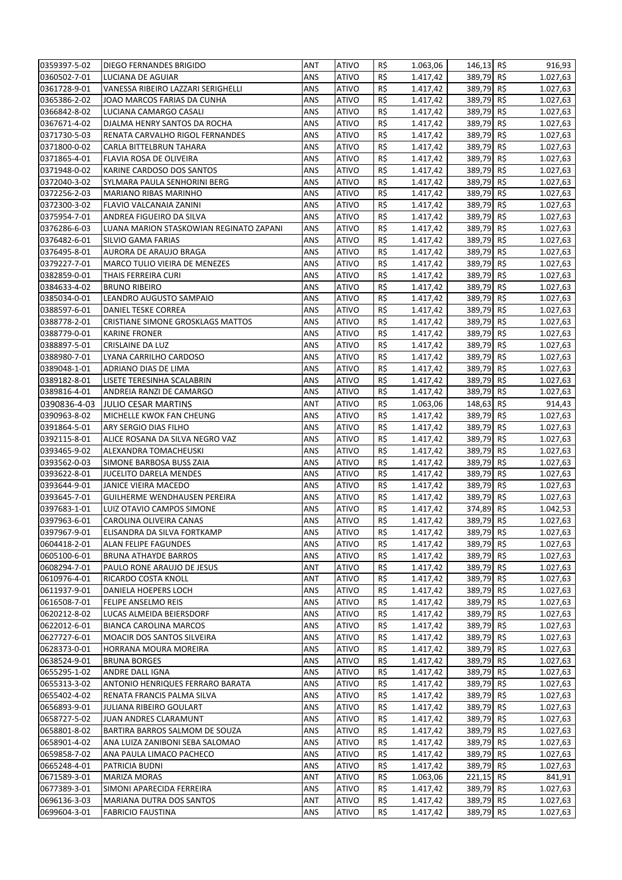| 0359397-5-02 | DIEGO FERNANDES BRIGIDO                        | ANT        | <b>ATIVO</b>                 | R\$ | 1.063,06 | 146,13 R\$ | 916,93   |
|--------------|------------------------------------------------|------------|------------------------------|-----|----------|------------|----------|
| 0360502-7-01 | LUCIANA DE AGUIAR                              | ANS        | <b>ATIVO</b>                 | R\$ | 1.417,42 | 389,79 R\$ | 1.027,63 |
| 0361728-9-01 | VANESSA RIBEIRO LAZZARI SERIGHELLI             | ANS        | <b>ATIVO</b>                 | R\$ | 1.417,42 | 389,79 R\$ | 1.027,63 |
| 0365386-2-02 | JOAO MARCOS FARIAS DA CUNHA                    | ANS        | <b>ATIVO</b>                 | R\$ | 1.417,42 | 389,79 R\$ | 1.027,63 |
| 0366842-8-02 | LUCIANA CAMARGO CASALI                         | ANS        | <b>ATIVO</b>                 | R\$ | 1.417,42 | 389,79 R\$ | 1.027,63 |
| 0367671-4-02 | DJALMA HENRY SANTOS DA ROCHA                   | ANS        | <b>ATIVO</b>                 | R\$ | 1.417,42 | 389,79 R\$ | 1.027,63 |
| 0371730-5-03 | RENATA CARVALHO RIGOL FERNANDES                | ANS        | <b>ATIVO</b>                 | R\$ | 1.417,42 | 389,79 R\$ | 1.027,63 |
| 0371800-0-02 | CARLA BITTELBRUN TAHARA                        | ANS        | <b>ATIVO</b>                 | R\$ | 1.417,42 | 389,79 R\$ | 1.027,63 |
| 0371865-4-01 | FLAVIA ROSA DE OLIVEIRA                        | ANS        | <b>ATIVO</b>                 | R\$ | 1.417,42 | 389,79 R\$ | 1.027,63 |
| 0371948-0-02 | KARINE CARDOSO DOS SANTOS                      | ANS        | <b>ATIVO</b>                 | R\$ | 1.417,42 | 389,79 R\$ | 1.027,63 |
| 0372040-3-02 | SYLMARA PAULA SENHORINI BERG                   | ANS        | <b>ATIVO</b>                 | R\$ | 1.417,42 | 389,79 R\$ | 1.027,63 |
| 0372256-2-03 | MARIANO RIBAS MARINHO                          | ANS        | <b>ATIVO</b>                 | R\$ | 1.417,42 | 389,79 R\$ | 1.027,63 |
| 0372300-3-02 | FLAVIO VALCANAIA ZANINI                        | ANS        | <b>ATIVO</b>                 | R\$ | 1.417,42 | 389,79 R\$ | 1.027,63 |
| 0375954-7-01 | ANDREA FIGUEIRO DA SILVA                       | ANS        | <b>ATIVO</b>                 | R\$ | 1.417,42 | 389,79 R\$ | 1.027,63 |
| 0376286-6-03 | LUANA MARION STASKOWIAN REGINATO ZAPANI        | ANS        | <b>ATIVO</b>                 | R\$ | 1.417,42 | 389,79 R\$ | 1.027,63 |
| 0376482-6-01 | SILVIO GAMA FARIAS                             | ANS        | <b>ATIVO</b>                 | R\$ | 1.417,42 | 389,79 R\$ | 1.027,63 |
| 0376495-8-01 | AURORA DE ARAUJO BRAGA                         | ANS        | <b>ATIVO</b>                 | R\$ | 1.417,42 | 389,79 R\$ | 1.027,63 |
| 0379227-7-01 | MARCO TULIO VIEIRA DE MENEZES                  | ANS        | <b>ATIVO</b>                 | R\$ | 1.417,42 | 389,79 R\$ | 1.027,63 |
| 0382859-0-01 | THAIS FERREIRA CURI                            | ANS        | <b>ATIVO</b>                 | R\$ | 1.417,42 | 389,79 R\$ | 1.027,63 |
| 0384633-4-02 | <b>BRUNO RIBEIRO</b>                           | ANS        | <b>ATIVO</b>                 | R\$ | 1.417,42 | 389,79 R\$ | 1.027,63 |
|              |                                                |            |                              | R\$ |          | 389,79 R\$ |          |
| 0385034-0-01 | LEANDRO AUGUSTO SAMPAIO<br>DANIEL TESKE CORREA | ANS<br>ANS | <b>ATIVO</b><br><b>ATIVO</b> | R\$ | 1.417,42 | 389,79 R\$ | 1.027,63 |
| 0388597-6-01 |                                                |            |                              |     | 1.417,42 |            | 1.027,63 |
| 0388778-2-01 | CRISTIANE SIMONE GROSKLAGS MATTOS              | ANS        | <b>ATIVO</b>                 | R\$ | 1.417,42 | 389,79 R\$ | 1.027,63 |
| 0388779-0-01 | <b>KARINE FRONER</b>                           | ANS        | <b>ATIVO</b>                 | R\$ | 1.417,42 | 389,79 R\$ | 1.027,63 |
| 0388897-5-01 | <b>CRISLAINE DA LUZ</b>                        | ANS        | <b>ATIVO</b>                 | R\$ | 1.417,42 | 389,79 R\$ | 1.027,63 |
| 0388980-7-01 | LYANA CARRILHO CARDOSO                         | ANS        | <b>ATIVO</b>                 | R\$ | 1.417,42 | 389,79 R\$ | 1.027,63 |
| 0389048-1-01 | ADRIANO DIAS DE LIMA                           | ANS        | <b>ATIVO</b>                 | R\$ | 1.417,42 | 389,79 R\$ | 1.027,63 |
| 0389182-8-01 | LISETE TERESINHA SCALABRIN                     | ANS        | <b>ATIVO</b>                 | R\$ | 1.417,42 | 389,79 R\$ | 1.027,63 |
| 0389816-4-01 | ANDREIA RANZI DE CAMARGO                       | ANS        | <b>ATIVO</b>                 | R\$ | 1.417,42 | 389,79 R\$ | 1.027,63 |
| 0390836-4-03 | JULIO CESAR MARTINS                            | ANT        | <b>ATIVO</b>                 | R\$ | 1.063,06 | 148,63 R\$ | 914,43   |
| 0390963-8-02 | MICHELLE KWOK FAN CHEUNG                       | <b>ANS</b> | <b>ATIVO</b>                 | R\$ | 1.417,42 | 389,79 R\$ | 1.027,63 |
| 0391864-5-01 | ARY SERGIO DIAS FILHO                          | ANS        | <b>ATIVO</b>                 | R\$ | 1.417,42 | 389,79 R\$ | 1.027,63 |
| 0392115-8-01 | ALICE ROSANA DA SILVA NEGRO VAZ                | ANS        | <b>ATIVO</b>                 | R\$ | 1.417,42 | 389,79 R\$ | 1.027,63 |
| 0393465-9-02 | ALEXANDRA TOMACHEUSKI                          | ANS        | <b>ATIVO</b>                 | R\$ | 1.417,42 | 389,79 R\$ | 1.027,63 |
| 0393562-0-03 | SIMONE BARBOSA BUSS ZAIA                       | ANS        | <b>ATIVO</b>                 | R\$ | 1.417,42 | 389,79 R\$ | 1.027,63 |
| 0393622-8-01 | <b>JUCELITO DARELA MENDES</b>                  | ANS        | <b>ATIVO</b>                 | R\$ | 1.417,42 | 389,79 R\$ | 1.027,63 |
| 0393644-9-01 | JANICE VIEIRA MACEDO                           | ANS        | <b>ATIVO</b>                 | R\$ | 1.417,42 | 389,79 R\$ | 1.027,63 |
| 0393645-7-01 | <b>GUILHERME WENDHAUSEN PEREIRA</b>            | ANS        | <b>ATIVO</b>                 | R\$ | 1.417,42 | 389,79 R\$ | 1.027,63 |
| 0397683-1-01 | LUIZ OTAVIO CAMPOS SIMONE                      | ANS        | <b>ATIVO</b>                 | R\$ | 1.417,42 | 374,89 R\$ | 1.042,53 |
| 0397963-6-01 | CAROLINA OLIVEIRA CANAS                        | <b>ANS</b> | <b>ATIVO</b>                 | R\$ | 1.417,42 | 389,79 R\$ | 1.027,63 |
| 0397967-9-01 | ELISANDRA DA SILVA FORTKAMP                    | <b>ANS</b> | <b>ATIVO</b>                 | R\$ | 1.417,42 | 389,79 R\$ | 1.027,63 |
| 0604418-2-01 | ALAN FELIPE FAGUNDES                           | ANS        | <b>ATIVO</b>                 | R\$ | 1.417,42 | 389,79 R\$ | 1.027,63 |
| 0605100-6-01 | BRUNA ATHAYDE BARROS                           | ANS        | <b>ATIVO</b>                 | R\$ | 1.417,42 | 389,79 R\$ | 1.027,63 |
| 0608294-7-01 | PAULO RONE ARAUJO DE JESUS                     | ANT        | <b>ATIVO</b>                 | R\$ | 1.417,42 | 389,79 R\$ | 1.027,63 |
| 0610976-4-01 | RICARDO COSTA KNOLL                            | ANT        | <b>ATIVO</b>                 | R\$ | 1.417,42 | 389,79 R\$ | 1.027,63 |
| 0611937-9-01 | DANIELA HOEPERS LOCH                           | ANS        | <b>ATIVO</b>                 | R\$ | 1.417,42 | 389,79 R\$ | 1.027,63 |
| 0616508-7-01 | FELIPE ANSELMO REIS                            | ANS        | <b>ATIVO</b>                 | R\$ | 1.417,42 | 389,79 R\$ | 1.027,63 |
| 0620212-8-02 | LUCAS ALMEIDA BEIERSDORF                       | ANS        | <b>ATIVO</b>                 | R\$ | 1.417,42 | 389,79 R\$ | 1.027,63 |
| 0622012-6-01 | <b>BIANCA CAROLINA MARCOS</b>                  | ANS        | <b>ATIVO</b>                 | R\$ | 1.417,42 | 389,79 R\$ | 1.027,63 |
| 0627727-6-01 | MOACIR DOS SANTOS SILVEIRA                     | ANS        | <b>ATIVO</b>                 | R\$ | 1.417,42 | 389,79 R\$ | 1.027,63 |
| 0628373-0-01 | HORRANA MOURA MOREIRA                          | ANS        | <b>ATIVO</b>                 | R\$ | 1.417,42 | 389,79 R\$ | 1.027,63 |
| 0638524-9-01 | <b>BRUNA BORGES</b>                            | ANS        | <b>ATIVO</b>                 | R\$ | 1.417,42 | 389,79 R\$ | 1.027,63 |
| 0655295-1-02 | ANDRE DALL IGNA                                | ANS        | <b>ATIVO</b>                 | R\$ | 1.417,42 | 389,79 R\$ | 1.027,63 |
| 0655313-3-02 | ANTONIO HENRIQUES FERRARO BARATA               | ANS        | <b>ATIVO</b>                 | R\$ | 1.417,42 | 389,79 R\$ | 1.027,63 |
| 0655402-4-02 | RENATA FRANCIS PALMA SILVA                     | ANS        | <b>ATIVO</b>                 | R\$ | 1.417,42 | 389,79 R\$ | 1.027,63 |
| 0656893-9-01 | JULIANA RIBEIRO GOULART                        | ANS        | <b>ATIVO</b>                 | R\$ | 1.417,42 | 389,79 R\$ | 1.027,63 |
| 0658727-5-02 | JUAN ANDRES CLARAMUNT                          | ANS        | <b>ATIVO</b>                 | R\$ | 1.417,42 | 389,79 R\$ | 1.027,63 |
| 0658801-8-02 | BARTIRA BARROS SALMOM DE SOUZA                 | ANS        | <b>ATIVO</b>                 | R\$ | 1.417,42 | 389,79 R\$ | 1.027,63 |
| 0658901-4-02 | ANA LUIZA ZANIBONI SEBA SALOMAO                | ANS        | <b>ATIVO</b>                 | R\$ | 1.417,42 | 389,79 R\$ | 1.027,63 |
| 0659858-7-02 | ANA PAULA LIMACO PACHECO                       | ANS        | <b>ATIVO</b>                 | R\$ | 1.417,42 | 389,79 R\$ | 1.027,63 |
| 0665248-4-01 | PATRICIA BUDNI                                 | ANS        | <b>ATIVO</b>                 | R\$ | 1.417,42 | 389,79 R\$ | 1.027,63 |
| 0671589-3-01 | <b>MARIZA MORAS</b>                            | ANT        | <b>ATIVO</b>                 | R\$ | 1.063,06 | 221,15 R\$ | 841,91   |
| 0677389-3-01 | SIMONI APARECIDA FERREIRA                      | ANS        | <b>ATIVO</b>                 | R\$ | 1.417,42 | 389,79 R\$ | 1.027,63 |
| 0696136-3-03 | MARIANA DUTRA DOS SANTOS                       | ANT        | <b>ATIVO</b>                 | R\$ | 1.417,42 | 389,79 R\$ | 1.027,63 |
| 0699604-3-01 | <b>FABRICIO FAUSTINA</b>                       | ANS        | <b>ATIVO</b>                 | R\$ | 1.417,42 | 389,79 R\$ | 1.027,63 |
|              |                                                |            |                              |     |          |            |          |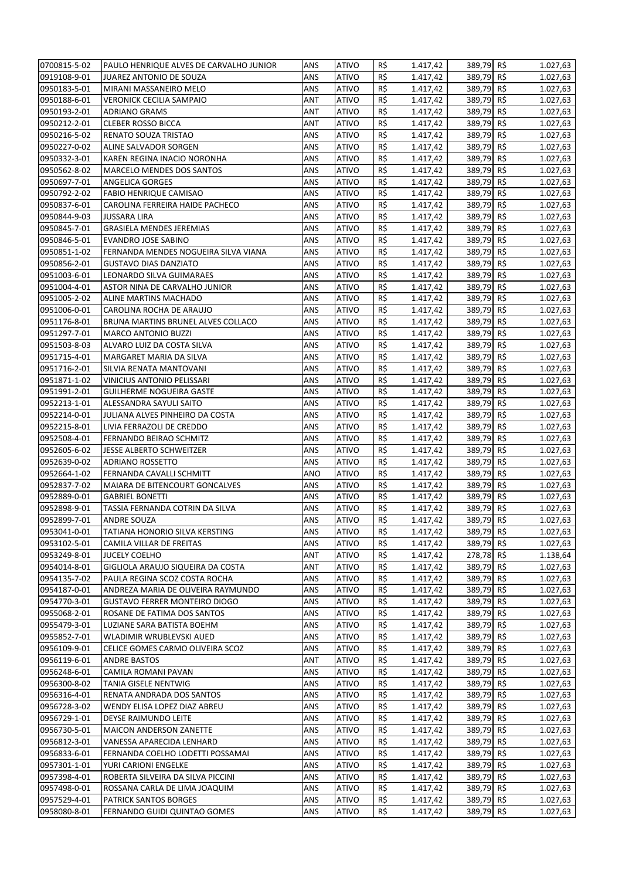| 0700815-5-02                 | PAULO HENRIQUE ALVES DE CARVALHO JUNIOR              | ANS        | <b>ATIVO</b>                 | R\$        | 1.417,42             | 389,79 R\$               | 1.027,63             |
|------------------------------|------------------------------------------------------|------------|------------------------------|------------|----------------------|--------------------------|----------------------|
| 0919108-9-01                 | JUAREZ ANTONIO DE SOUZA                              | ANS        | <b>ATIVO</b>                 | R\$        | 1.417,42             | 389,79 R\$               | 1.027,63             |
| 0950183-5-01                 | MIRANI MASSANEIRO MELO                               | ANS        | <b>ATIVO</b>                 | R\$        | 1.417,42             | 389,79 R\$               | 1.027,63             |
| 0950188-6-01                 | <b>VERONICK CECILIA SAMPAIO</b>                      | ANT        | <b>ATIVO</b>                 | R\$        | 1.417,42             | 389,79 R\$               | 1.027,63             |
| 0950193-2-01                 | <b>ADRIANO GRAMS</b>                                 | ANT        | <b>ATIVO</b>                 | R\$        | 1.417,42             | 389,79 R\$               | 1.027,63             |
| 0950212-2-01                 | <b>CLEBER ROSSO BICCA</b>                            | ANT        | <b>ATIVO</b>                 | R\$        | 1.417,42             | 389,79 R\$               | 1.027,63             |
| 0950216-5-02                 | RENATO SOUZA TRISTAO                                 | ANS        | <b>ATIVO</b>                 | R\$        | 1.417,42             | 389,79 R\$               | 1.027,63             |
| 0950227-0-02                 | ALINE SALVADOR SORGEN                                | ANS        | <b>ATIVO</b>                 | R\$        | 1.417,42             | 389,79 R\$               | 1.027,63             |
| 0950332-3-01                 | KAREN REGINA INACIO NORONHA                          | ANS        | <b>ATIVO</b>                 | R\$        | 1.417,42             | 389,79 R\$               | 1.027,63             |
| 0950562-8-02                 | MARCELO MENDES DOS SANTOS                            | ANS        | <b>ATIVO</b>                 | R\$        | 1.417,42             | 389,79 R\$               | 1.027,63             |
| 0950697-7-01                 | ANGELICA GORGES                                      | ANS        | <b>ATIVO</b>                 | R\$        | 1.417,42             | 389,79 R\$               | 1.027,63             |
| 0950792-2-02                 | <b>FABIO HENRIQUE CAMISAO</b>                        | ANS        | <b>ATIVO</b>                 | R\$        | 1.417,42             | 389,79 R\$               | 1.027,63             |
| 0950837-6-01                 | CAROLINA FERREIRA HAIDE PACHECO                      | ANS        | <b>ATIVO</b>                 | R\$        | 1.417,42             | 389,79 R\$               | 1.027,63             |
| 0950844-9-03                 | <b>JUSSARA LIRA</b>                                  | ANS        | <b>ATIVO</b>                 | R\$        | 1.417,42             | 389,79 R\$               | 1.027,63             |
| 0950845-7-01                 | <b>GRASIELA MENDES JEREMIAS</b>                      | ANS        | <b>ATIVO</b>                 | R\$        | 1.417,42             | 389,79 R\$               | 1.027,63             |
| 0950846-5-01                 | EVANDRO JOSE SABINO                                  | ANS        | <b>ATIVO</b>                 | R\$        | 1.417,42             | 389,79 R\$               | 1.027,63             |
| 0950851-1-02                 | FERNANDA MENDES NOGUEIRA SILVA VIANA                 | ANS        | <b>ATIVO</b>                 | R\$        | 1.417,42             | 389,79 R\$               | 1.027,63             |
| 0950856-2-01                 | <b>GUSTAVO DIAS DANZIATO</b>                         | ANS        | <b>ATIVO</b>                 | R\$        | 1.417,42             | 389,79 R\$               | 1.027,63             |
| 0951003-6-01                 | LEONARDO SILVA GUIMARAES                             | ANS        | <b>ATIVO</b>                 | R\$        | 1.417,42             | 389,79 R\$               | 1.027,63             |
| 0951004-4-01                 | ASTOR NINA DE CARVALHO JUNIOR                        | ANS        | <b>ATIVO</b>                 | R\$        | 1.417,42             | 389,79 R\$               | 1.027,63             |
| 0951005-2-02                 | ALINE MARTINS MACHADO                                | ANS        | <b>ATIVO</b>                 | R\$        | 1.417,42             | 389,79 R\$               | 1.027,63             |
| 0951006-0-01                 | CAROLINA ROCHA DE ARAUJO                             | ANS        | <b>ATIVO</b>                 | R\$        | 1.417,42             | 389,79 R\$               | 1.027,63             |
| 0951176-8-01                 | BRUNA MARTINS BRUNEL ALVES COLLACO                   | ANS        | <b>ATIVO</b>                 | R\$        | 1.417,42             | 389,79 R\$               | 1.027,63             |
| 0951297-7-01                 | <b>MARCO ANTONIO BUZZI</b>                           | ANS        | <b>ATIVO</b>                 | R\$        | 1.417,42             | 389,79 R\$               | 1.027,63             |
| 0951503-8-03                 | ALVARO LUIZ DA COSTA SILVA                           | ANS        | <b>ATIVO</b>                 | R\$        | 1.417,42             | 389,79 R\$               | 1.027,63             |
| 0951715-4-01                 | MARGARET MARIA DA SILVA                              | ANS        | <b>ATIVO</b>                 | R\$        | 1.417,42             | 389,79 R\$               | 1.027,63             |
| 0951716-2-01                 | SILVIA RENATA MANTOVANI                              | ANS        | <b>ATIVO</b>                 | R\$        | 1.417,42             | 389,79 R\$               | 1.027,63             |
| 0951871-1-02                 | VINICIUS ANTONIO PELISSARI                           | ANS        | <b>ATIVO</b>                 | R\$        | 1.417,42             | 389,79 R\$               | 1.027,63             |
| 0951991-2-01                 | <b>GUILHERME NOGUEIRA GASTE</b>                      | ANS        | <b>ATIVO</b>                 | R\$        | 1.417,42             | 389,79 R\$               | 1.027,63             |
| 0952213-1-01                 | ALESSANDRA SAYULI SAITO                              | ANS        | <b>ATIVO</b>                 | R\$        | 1.417,42             | 389,79 R\$               | 1.027,63             |
| 0952214-0-01                 | JULIANA ALVES PINHEIRO DA COSTA                      | ANS        | <b>ATIVO</b>                 | R\$<br>R\$ | 1.417,42             | 389,79 R\$               | 1.027,63             |
| 0952215-8-01<br>0952508-4-01 | LIVIA FERRAZOLI DE CREDDO<br>FERNANDO BEIRAO SCHMITZ | ANS        | <b>ATIVO</b><br><b>ATIVO</b> | R\$        | 1.417,42             | 389,79 R\$<br>389,79 R\$ | 1.027,63             |
| 0952605-6-02                 |                                                      | ANS<br>ANS | <b>ATIVO</b>                 | R\$        | 1.417,42             | 389,79 R\$               | 1.027,63             |
| 0952639-0-02                 | <b>JESSE ALBERTO SCHWEITZER</b><br>ADRIANO ROSSETTO  | ANS        | <b>ATIVO</b>                 | R\$        | 1.417,42<br>1.417,42 | 389,79 R\$               | 1.027,63<br>1.027,63 |
| 0952664-1-02                 | FERNANDA CAVALLI SCHMITT                             | ANO        | <b>ATIVO</b>                 | R\$        | 1.417,42             | 389,79 R\$               | 1.027,63             |
| 0952837-7-02                 | MAIARA DE BITENCOURT GONCALVES                       | ANS        | <b>ATIVO</b>                 | R\$        | 1.417,42             | 389,79 R\$               | 1.027,63             |
| 0952889-0-01                 | <b>GABRIEL BONETTI</b>                               | ANS        | <b>ATIVO</b>                 | R\$        | 1.417,42             | 389,79 R\$               | 1.027,63             |
| 0952898-9-01                 | TASSIA FERNANDA COTRIN DA SILVA                      | ANS        | <b>ATIVO</b>                 | R\$        | 1.417,42             | 389,79 R\$               | 1.027,63             |
| 0952899-7-01                 | ANDRE SOUZA                                          | ANS        | <b>ATIVO</b>                 | R\$        | 1.417,42             | 389,79 R\$               | 1.027,63             |
| 0953041-0-01                 | TATIANA HONORIO SILVA KERSTING                       | ANS        | <b>ATIVO</b>                 | R\$        | 1.417,42             | 389,79 R\$               | 1.027,63             |
| 0953102-5-01                 | CAMILA VILLAR DE FREITAS                             | ANS        | <b>ATIVO</b>                 | R\$        | 1.417,42             | 389,79 R\$               | 1.027,63             |
| 0953249-8-01                 | <b>JUCELY COELHO</b>                                 | ANT        | <b>ATIVO</b>                 | R\$        | 1.417,42             | 278,78 R\$               | 1.138,64             |
| 0954014-8-01                 | GIGLIOLA ARAUJO SIQUEIRA DA COSTA                    | ANT        | <b>ATIVO</b>                 | R\$        | 1.417,42             | 389,79 R\$               | 1.027,63             |
| 0954135-7-02                 | PAULA REGINA SCOZ COSTA ROCHA                        | ANS        | <b>ATIVO</b>                 | R\$        | 1.417,42             | 389,79 R\$               | 1.027,63             |
| 0954187-0-01                 | ANDREZA MARIA DE OLIVEIRA RAYMUNDO                   | ANS        | <b>ATIVO</b>                 | R\$        | 1.417,42             | 389,79 R\$               | 1.027,63             |
| 0954770-3-01                 | <b>GUSTAVO FERRER MONTEIRO DIOGO</b>                 | ANS        | <b>ATIVO</b>                 | R\$        | 1.417,42             | 389,79 R\$               | 1.027,63             |
| 0955068-2-01                 | ROSANE DE FATIMA DOS SANTOS                          | ANS        | <b>ATIVO</b>                 | R\$        | 1.417,42             | 389,79 R\$               | 1.027,63             |
| 0955479-3-01                 | LUZIANE SARA BATISTA BOEHM                           | ANS        | <b>ATIVO</b>                 | R\$        | 1.417,42             | 389,79 R\$               | 1.027,63             |
| 0955852-7-01                 | WLADIMIR WRUBLEVSKI AUED                             | ANS        | <b>ATIVO</b>                 | R\$        | 1.417,42             | 389,79 R\$               | 1.027,63             |
| 0956109-9-01                 | CELICE GOMES CARMO OLIVEIRA SCOZ                     | ANS        | <b>ATIVO</b>                 | R\$        | 1.417,42             | 389,79 R\$               | 1.027,63             |
| 0956119-6-01                 | <b>ANDRE BASTOS</b>                                  | ANT        | <b>ATIVO</b>                 | R\$        | 1.417,42             | 389,79 R\$               | 1.027,63             |
| 0956248-6-01                 | CAMILA ROMANI PAVAN                                  | ANS        | <b>ATIVO</b>                 | R\$        | 1.417,42             | 389,79 R\$               | 1.027,63             |
| 0956300-8-02                 | TANIA GISELE NENTWIG                                 | ANS        | <b>ATIVO</b>                 | R\$        | 1.417,42             | 389,79 R\$               | 1.027,63             |
| 0956316-4-01                 | RENATA ANDRADA DOS SANTOS                            | ANS        | <b>ATIVO</b>                 | R\$        | 1.417,42             | 389,79 R\$               | 1.027,63             |
| 0956728-3-02                 | WENDY ELISA LOPEZ DIAZ ABREU                         | ANS        | <b>ATIVO</b>                 | R\$        | 1.417,42             | 389,79 R\$               | 1.027,63             |
| 0956729-1-01                 | DEYSE RAIMUNDO LEITE                                 | ANS        | <b>ATIVO</b>                 | R\$        | 1.417,42             | 389,79 R\$               | 1.027,63             |
| 0956730-5-01                 | MAICON ANDERSON ZANETTE                              | ANS        | <b>ATIVO</b>                 | R\$        | 1.417,42             | 389,79 R\$               | 1.027,63             |
| 0956812-3-01                 | VANESSA APARECIDA LENHARD                            | ANS        | <b>ATIVO</b>                 | R\$        | 1.417,42             | 389,79 R\$               | 1.027,63             |
| 0956833-6-01                 | FERNANDA COELHO LODETTI POSSAMAI                     | ANS        | <b>ATIVO</b>                 | R\$        | 1.417,42             | 389,79 R\$               | 1.027,63             |
| 0957301-1-01                 | YURI CARIONI ENGELKE                                 | ANS        | <b>ATIVO</b>                 | R\$        | 1.417,42             | 389,79 R\$               | 1.027,63             |
| 0957398-4-01                 | ROBERTA SILVEIRA DA SILVA PICCINI                    | ANS        | <b>ATIVO</b>                 | R\$        | 1.417,42             | 389,79 R\$               | 1.027,63             |
| 0957498-0-01                 | ROSSANA CARLA DE LIMA JOAQUIM                        | ANS        | <b>ATIVO</b>                 | R\$        | 1.417,42             | 389,79 R\$               | 1.027,63             |
| 0957529-4-01                 | PATRICK SANTOS BORGES                                | ANS        | <b>ATIVO</b>                 | R\$        | 1.417,42             | 389,79 R\$               | 1.027,63             |
| 0958080-8-01                 | FERNANDO GUIDI QUINTAO GOMES                         | ANS        | <b>ATIVO</b>                 | R\$        | 1.417,42             | 389,79 R\$               | 1.027,63             |